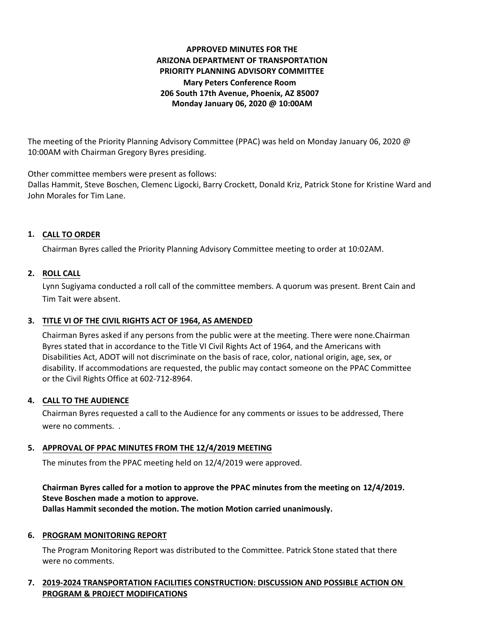# **APPROVED MINUTES FOR THE ARIZONA DEPARTMENT OF TRANSPORTATION PRIORITY PLANNING ADVISORY COMMITTEE Mary Peters Conference Room 206 South 17th Avenue, Phoenix, AZ 85007 Monday January 06, 2020 @ 10:00AM**

The meeting of the Priority Planning Advisory Committee (PPAC) was held on Monday January 06, 2020 @ 10:00AM with Chairman Gregory Byres presiding.

Other committee members were present as follows:

Dallas Hammit, Steve Boschen, Clemenc Ligocki, Barry Crockett, Donald Kriz, Patrick Stone for Kristine Ward and John Morales for Tim Lane.

# **CALL TO ORDER 1.**

Chairman Byres called the Priority Planning Advisory Committee meeting to order at 10:02AM.

## **ROLL CALL 2.**

Lynn Sugiyama conducted a roll call of the committee members. A quorum was present. Brent Cain and Tim Tait were absent.

# **TITLE VI OF THE CIVIL RIGHTS ACT OF 1964, AS AMENDED 3.**

Chairman Byres asked if any persons from the public were at the meeting. There were none.Chairman Byres stated that in accordance to the Title VI Civil Rights Act of 1964, and the Americans with Disabilities Act, ADOT will not discriminate on the basis of race, color, national origin, age, sex, or disability. If accommodations are requested, the public may contact someone on the PPAC Committee or the Civil Rights Office at 602-712-8964.

### **CALL TO THE AUDIENCE 4.**

Chairman Byres requested a call to the Audience for any comments or issues to be addressed, There were no comments. .

## **APPROVAL OF PPAC MINUTES FROM THE 12/4/2019 MEETING 5.**

The minutes from the PPAC meeting held on 12/4/2019 were approved.

# **Chairman Byres called for a motion to approve the PPAC minutes from the meeting on 12/4/2019. Steve Boschen made a motion to approve.**

**Dallas Hammit seconded the motion. The motion Motion carried unanimously.**

### **6. PROGRAM MONITORING REPORT**

The Program Monitoring Report was distributed to the Committee. Patrick Stone stated that there were no comments.

## **7. 2019-2024 TRANSPORTATION FACILITIES CONSTRUCTION: DISCUSSION AND POSSIBLE ACTION ON PROGRAM & PROJECT MODIFICATIONS**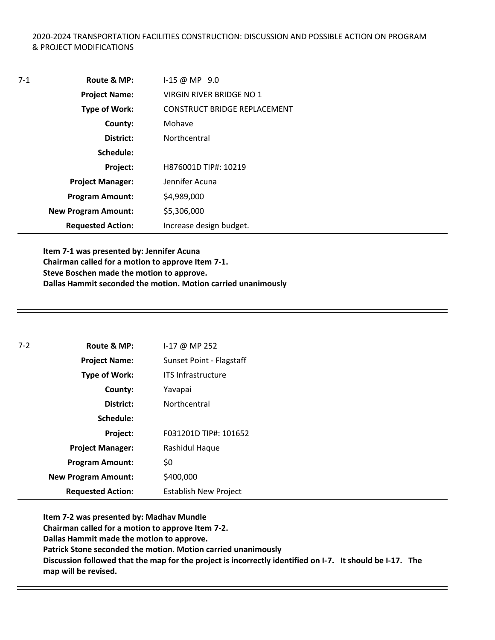## 2020-2024 TRANSPORTATION FACILITIES CONSTRUCTION: DISCUSSION AND POSSIBLE ACTION ON PROGRAM & PROJECT MODIFICATIONS

| $7-1$ | Route & MP:                | $1-15 \omega \text{MP } 9.0$ |
|-------|----------------------------|------------------------------|
|       | <b>Project Name:</b>       | VIRGIN RIVER BRIDGE NO 1     |
|       | <b>Type of Work:</b>       | CONSTRUCT BRIDGE REPLACEMENT |
|       | County:                    | Mohave                       |
|       | District:                  | Northcentral                 |
|       | Schedule:                  |                              |
|       | <b>Project:</b>            | H876001D TIP#: 10219         |
|       | <b>Project Manager:</b>    | Jennifer Acuna               |
|       | <b>Program Amount:</b>     | \$4,989,000                  |
|       | <b>New Program Amount:</b> | \$5,306,000                  |
|       | <b>Requested Action:</b>   | Increase design budget.      |

**Item 7-1 was presented by: Jennifer Acuna Chairman called for a motion to approve Item 7-1. Steve Boschen made the motion to approve. Dallas Hammit seconded the motion. Motion carried unanimously**

| $7 - 2$ | Route & MP:                | $1-17$ @ MP 252              |
|---------|----------------------------|------------------------------|
|         | <b>Project Name:</b>       | Sunset Point - Flagstaff     |
|         | Type of Work:              | <b>ITS Infrastructure</b>    |
|         | County:                    | Yavapai                      |
|         | District:                  | Northcentral                 |
|         | Schedule:                  |                              |
|         | Project:                   | F031201D TIP#: 101652        |
|         | <b>Project Manager:</b>    | Rashidul Haque               |
|         | <b>Program Amount:</b>     | \$0                          |
|         | <b>New Program Amount:</b> | \$400,000                    |
|         | <b>Requested Action:</b>   | <b>Establish New Project</b> |

**Item 7-2 was presented by: Madhav Mundle Chairman called for a motion to approve Item 7-2. Dallas Hammit made the motion to approve. Patrick Stone seconded the motion. Motion carried unanimously Discussion followed that the map for the project is incorrectly identified on I-7. It should be I-17. The map will be revised.**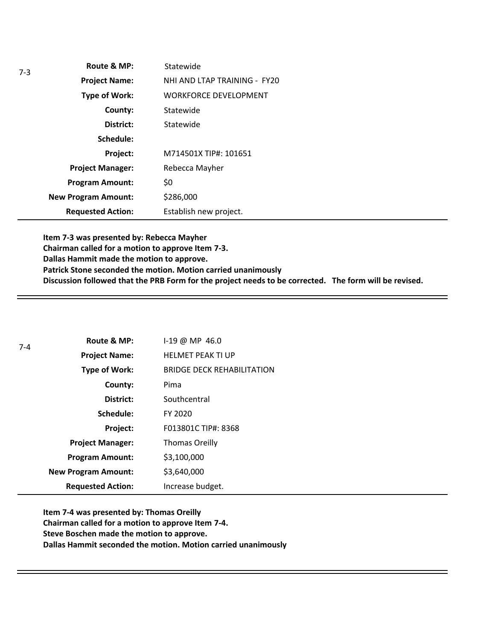|  | Route & MP:                | Statewide                    |
|--|----------------------------|------------------------------|
|  | <b>Project Name:</b>       | NHI AND LTAP TRAINING - FY20 |
|  | <b>Type of Work:</b>       | <b>WORKFORCE DEVELOPMENT</b> |
|  | County:                    | Statewide                    |
|  | District:                  | Statewide                    |
|  | Schedule:                  |                              |
|  | Project:                   | M714501X TIP#: 101651        |
|  | <b>Project Manager:</b>    | Rebecca Mayher               |
|  | <b>Program Amount:</b>     | \$0                          |
|  | <b>New Program Amount:</b> | \$286,000                    |
|  | <b>Requested Action:</b>   | Establish new project.       |

**Item 7-3 was presented by: Rebecca Mayher Chairman called for a motion to approve Item 7-3. Dallas Hammit made the motion to approve. Patrick Stone seconded the motion. Motion carried unanimously Discussion followed that the PRB Form for the project needs to be corrected. The form will be revised.** 

| $7 - 4$ | Route & MP:                | I-19 @ MP 46.0                    |
|---------|----------------------------|-----------------------------------|
|         | <b>Project Name:</b>       | <b>HELMET PEAK TI UP</b>          |
|         | <b>Type of Work:</b>       | <b>BRIDGE DECK REHABILITATION</b> |
|         | County:                    | Pima                              |
|         | District:                  | Southcentral                      |
|         | Schedule:                  | FY 2020                           |
|         | Project:                   | F013801C TIP#: 8368               |
|         | <b>Project Manager:</b>    | <b>Thomas Oreilly</b>             |
|         | <b>Program Amount:</b>     | \$3,100,000                       |
|         | <b>New Program Amount:</b> | \$3,640,000                       |
|         | <b>Requested Action:</b>   | Increase budget.                  |

**Item 7-4 was presented by: Thomas Oreilly Chairman called for a motion to approve Item 7-4. Steve Boschen made the motion to approve. Dallas Hammit seconded the motion. Motion carried unanimously**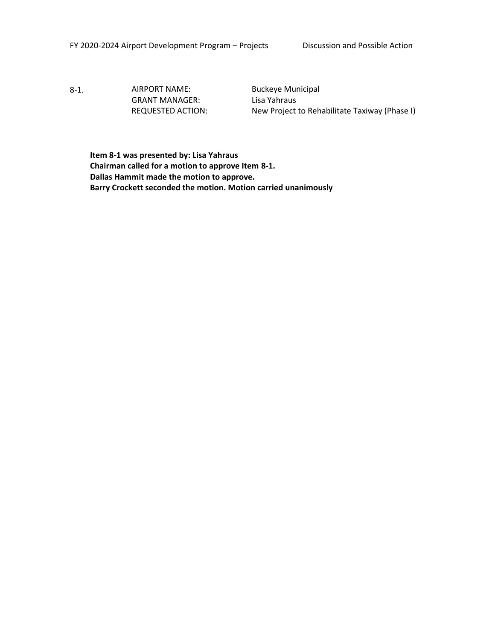8-1. AIRPORT NAME: Buckeye Municipal GRANT MANAGER: Lisa Yahraus

REQUESTED ACTION: New Project to Rehabilitate Taxiway (Phase I)

**Item 8-1 was presented by: Lisa Yahraus Chairman called for a motion to approve Item 8-1. Dallas Hammit made the motion to approve. Barry Crockett seconded the motion. Motion carried unanimously**